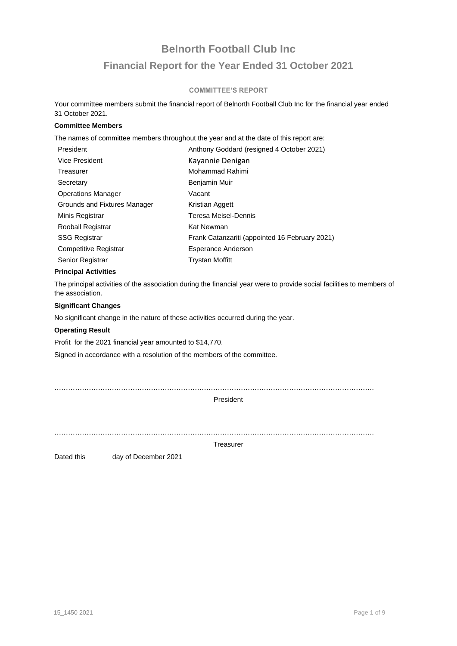# **Belnorth Football Club Inc Financial Report for the Year Ended 31 October 2021**

## **COMMITTEE'S REPORT**

Your committee members submit the financial report of Belnorth Football Club Inc for the financial year ended 31 October 2021.

## **Committee Members**

The names of committee members throughout the year and at the date of this report are:

| President                    | Anthony Goddard (resigned 4 October 2021)      |
|------------------------------|------------------------------------------------|
| Vice President               | Kayannie Denigan                               |
| Treasurer                    | Mohammad Rahimi                                |
| Secretary                    | <b>Benjamin Muir</b>                           |
| <b>Operations Manager</b>    | Vacant                                         |
| Grounds and Fixtures Manager | Kristian Aggett                                |
| Minis Registrar              | Teresa Meisel-Dennis                           |
| Rooball Registrar            | Kat Newman                                     |
| <b>SSG Registrar</b>         | Frank Catanzariti (appointed 16 February 2021) |
| Competitive Registrar        | Esperance Anderson                             |
| Senior Registrar             | <b>Trystan Moffitt</b>                         |

#### **Principal Activities**

The principal activities of the association during the financial year were to provide social facilities to members of the association.

## **Significant Changes**

No significant change in the nature of these activities occurred during the year.

#### **Operating Result**

Profit for the 2021 financial year amounted to \$14,770.

Signed in accordance with a resolution of the members of the committee.

………………………………………………………………………………………………………………………….

President

………………………………………………………………………………………………………………………….

**Treasurer** 

Dated this day of December 2021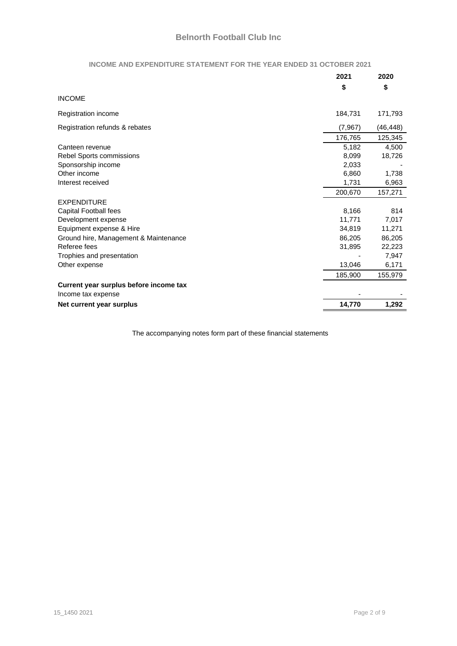|                                        | 2021<br>\$ | 2020<br>\$ |
|----------------------------------------|------------|------------|
| <b>INCOME</b>                          |            |            |
| Registration income                    | 184,731    | 171,793    |
| Registration refunds & rebates         | (7, 967)   | (46, 448)  |
|                                        | 176,765    | 125,345    |
| Canteen revenue                        | 5,182      | 4,500      |
| Rebel Sports commissions               | 8,099      | 18,726     |
| Sponsorship income                     | 2,033      |            |
| Other income                           | 6,860      | 1,738      |
| Interest received                      | 1,731      | 6,963      |
|                                        | 200,670    | 157,271    |
| <b>EXPENDITURE</b>                     |            |            |
| <b>Capital Football fees</b>           | 8,166      | 814        |
| Development expense                    | 11,771     | 7,017      |
| Equipment expense & Hire               | 34,819     | 11,271     |
| Ground hire, Management & Maintenance  | 86,205     | 86,205     |
| Referee fees                           | 31,895     | 22,223     |
| Trophies and presentation              |            | 7,947      |
| Other expense                          | 13,046     | 6,171      |
|                                        | 185,900    | 155,979    |
| Current year surplus before income tax |            |            |
| Income tax expense                     |            |            |
| Net current year surplus               | 14,770     | 1,292      |

# **INCOME AND EXPENDITURE STATEMENT FOR THE YEAR ENDED 31 OCTOBER 2021**

The accompanying notes form part of these financial statements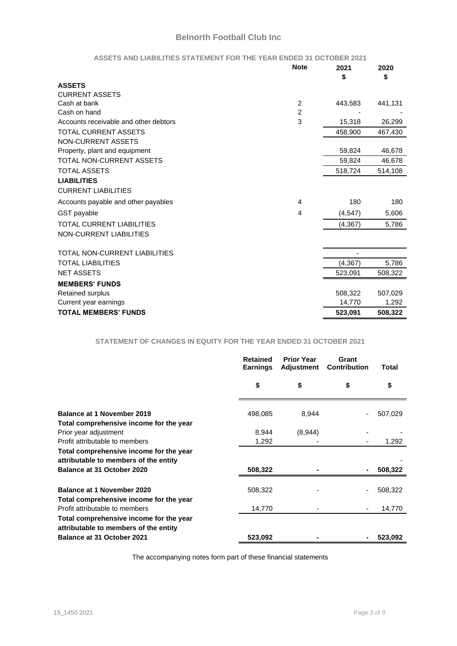# **Belnorth Football Club Inc**

|                                       | <b>Note</b>    | 2021     | 2020    |
|---------------------------------------|----------------|----------|---------|
| <b>ASSETS</b>                         |                | \$       | \$      |
| <b>CURRENT ASSETS</b>                 |                |          |         |
| Cash at bank                          | 2              | 443,583  | 441,131 |
| Cash on hand                          | $\overline{c}$ |          |         |
| Accounts receivable and other debtors | 3              | 15,318   | 26,299  |
| <b>TOTAL CURRENT ASSETS</b>           |                | 458,900  | 467,430 |
| NON-CURRENT ASSETS                    |                |          |         |
| Property, plant and equipment         |                | 59,824   | 46,678  |
| <b>TOTAL NON-CURRENT ASSETS</b>       |                | 59,824   | 46,678  |
| <b>TOTAL ASSETS</b>                   |                | 518,724  | 514,108 |
| <b>LIABILITIES</b>                    |                |          |         |
| <b>CURRENT LIABILITIES</b>            |                |          |         |
| Accounts payable and other payables   | 4              | 180      | 180     |
| <b>GST</b> payable                    | 4              | (4,547)  | 5,606   |
| <b>TOTAL CURRENT LIABILITIES</b>      |                | (4, 367) | 5,786   |
| NON-CURRENT LIABILITIES               |                |          |         |
| <b>TOTAL NON-CURRENT LIABILITIES</b>  |                |          |         |
| <b>TOTAL LIABILITIES</b>              |                | (4, 367) | 5,786   |
| <b>NET ASSETS</b>                     |                | 523,091  | 508,322 |
| <b>MEMBERS' FUNDS</b>                 |                |          |         |
| Retained surplus                      |                | 508,322  | 507,029 |
| Current year earnings                 |                | 14,770   | 1,292   |
| <b>TOTAL MEMBERS' FUNDS</b>           |                | 523,091  | 508.322 |

# **ASSETS AND LIABILITIES STATEMENT FOR THE YEAR ENDED 31 OCTOBER 2021**

## **STATEMENT OF CHANGES IN EQUITY FOR THE YEAR ENDED 31 OCTOBER 2021**

|                                                                                  | <b>Retained</b><br><b>Earnings</b> | <b>Prior Year</b><br>Adjustment | Grant<br><b>Contribution</b> | Total   |
|----------------------------------------------------------------------------------|------------------------------------|---------------------------------|------------------------------|---------|
|                                                                                  | \$                                 | \$                              | \$                           | \$      |
| <b>Balance at 1 November 2019</b>                                                | 498,085                            | 8,944                           |                              | 507,029 |
| Total comprehensive income for the year                                          |                                    |                                 |                              |         |
| Prior year adjustment                                                            | 8,944                              | (8,944)                         |                              |         |
| Profit attributable to members                                                   | 1,292                              |                                 |                              | 1,292   |
| Total comprehensive income for the year<br>attributable to members of the entity |                                    |                                 |                              |         |
| Balance at 31 October 2020                                                       | 508,322                            |                                 |                              | 508,322 |
| <b>Balance at 1 November 2020</b><br>Total comprehensive income for the year     | 508,322                            |                                 |                              | 508,322 |
| Profit attributable to members                                                   | 14,770                             |                                 |                              | 14,770  |
| Total comprehensive income for the year<br>attributable to members of the entity |                                    |                                 |                              |         |
| <b>Balance at 31 October 2021</b>                                                | 523,092                            |                                 |                              | 523,092 |

The accompanying notes form part of these financial statements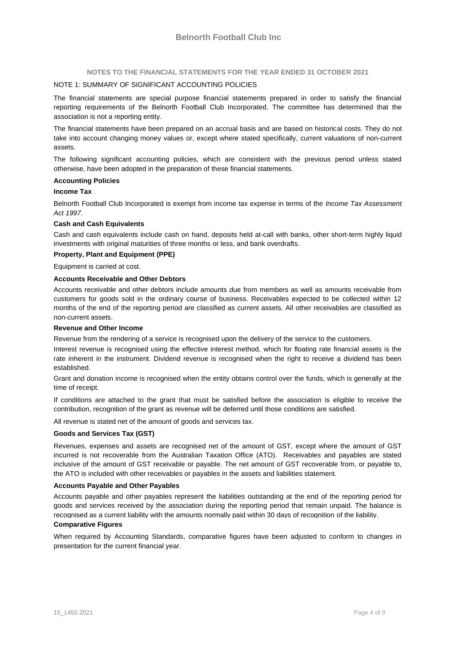## **NOTES TO THE FINANCIAL STATEMENTS FOR THE YEAR ENDED 31 OCTOBER 2021**

### NOTE 1: SUMMARY OF SIGNIFICANT ACCOUNTING POLICIES

The financial statements are special purpose financial statements prepared in order to satisfy the financial reporting requirements of the Belnorth Football Club Incorporated. The committee has determined that the association is not a reporting entity.

The financial statements have been prepared on an accrual basis and are based on historical costs. They do not take into account changing money values or, except where stated specifically, current valuations of non-current assets.

The following significant accounting policies, which are consistent with the previous period unless stated otherwise, have been adopted in the preparation of these financial statements.

#### **Accounting Policies**

#### **Income Tax**

Belnorth Football Club Incorporated is exempt from income tax expense in terms of the *Income Tax Assessment Act 1997.*

#### **Cash and Cash Equivalents**

Cash and cash equivalents include cash on hand, deposits held at-call with banks, other short-term highly liquid investments with original maturities of three months or less, and bank overdrafts.

#### **Property, Plant and Equipment (PPE)**

Equipment is carried at cost.

#### **Accounts Receivable and Other Debtors**

Accounts receivable and other debtors include amounts due from members as well as amounts receivable from customers for goods sold in the ordinary course of business. Receivables expected to be collected within 12 months of the end of the reporting period are classified as current assets. All other receivables are classified as non-current assets.

#### **Revenue and Other Income**

Revenue from the rendering of a service is recognised upon the delivery of the service to the customers.

Interest revenue is recognised using the effective interest method, which for floating rate financial assets is the rate inherent in the instrument. Dividend revenue is recognised when the right to receive a dividend has been established.

Grant and donation income is recognised when the entity obtains control over the funds, which is generally at the time of receipt.

If conditions are attached to the grant that must be satisfied before the association is eligible to receive the contribution, recognition of the grant as revenue will be deferred until those conditions are satisfied.

All revenue is stated net of the amount of goods and services tax.

#### **Goods and Services Tax (GST)**

Revenues, expenses and assets are recognised net of the amount of GST, except where the amount of GST incurred is not recoverable from the Australian Taxation Office (ATO). Receivables and payables are stated inclusive of the amount of GST receivable or payable. The net amount of GST recoverable from, or payable to, the ATO is included with other receivables or payables in the assets and liabilities statement.

#### **Accounts Payable and Other Payables**

Accounts payable and other payables represent the liabilities outstanding at the end of the reporting period for goods and services received by the association during the reporting period that remain unpaid. The balance is recognised as a current liability with the amounts normally paid within 30 days of recognition of the liability.

# **Comparative Figures**

When required by Accounting Standards, comparative figures have been adjusted to conform to changes in presentation for the current financial year.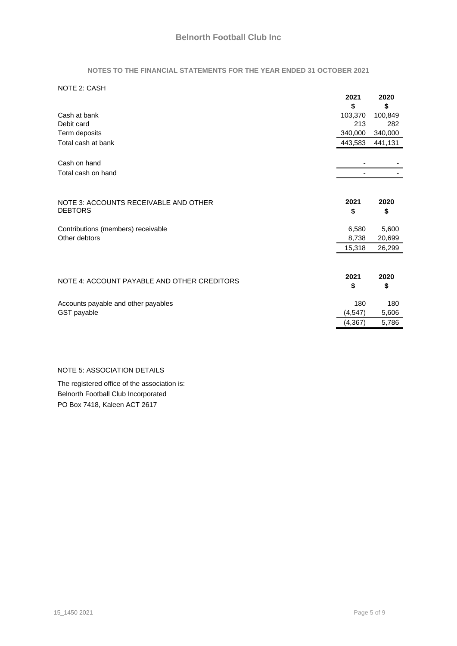## **NOTES TO THE FINANCIAL STATEMENTS FOR THE YEAR ENDED 31 OCTOBER 2021**

# NOTE 2: CASH

|                                             | 2021     | 2020    |
|---------------------------------------------|----------|---------|
|                                             | \$       | \$      |
| Cash at bank                                | 103,370  | 100,849 |
| Debit card                                  | 213      | 282     |
| Term deposits                               | 340,000  | 340,000 |
| Total cash at bank                          | 443,583  | 441,131 |
| Cash on hand                                |          |         |
| Total cash on hand                          |          |         |
|                                             |          |         |
| NOTE 3: ACCOUNTS RECEIVABLE AND OTHER       | 2021     | 2020    |
| <b>DEBTORS</b>                              | \$       | \$      |
| Contributions (members) receivable          | 6,580    | 5,600   |
| Other debtors                               | 8,738    | 20,699  |
|                                             | 15,318   | 26,299  |
|                                             |          |         |
| NOTE 4: ACCOUNT PAYABLE AND OTHER CREDITORS | 2021     | 2020    |
|                                             | \$       | \$      |
| Accounts payable and other payables         | 180      | 180     |
| GST payable                                 | (4, 547) | 5,606   |
|                                             | (4, 367) | 5,786   |

# NOTE 5: ASSOCIATION DETAILS

The registered office of the association is: Belnorth Football Club Incorporated PO Box 7418, Kaleen ACT 2617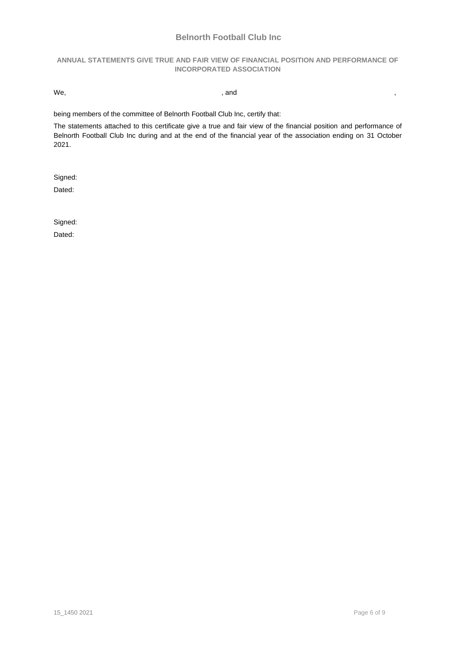# **Belnorth Football Club Inc**

### **ANNUAL STATEMENTS GIVE TRUE AND FAIR VIEW OF FINANCIAL POSITION AND PERFORMANCE OF INCORPORATED ASSOCIATION**

We, , and ,

being members of the committee of Belnorth Football Club Inc, certify that:

The statements attached to this certificate give a true and fair view of the financial position and performance of Belnorth Football Club Inc during and at the end of the financial year of the association ending on 31 October 2021.

Signed: Dated:

Signed: Dated: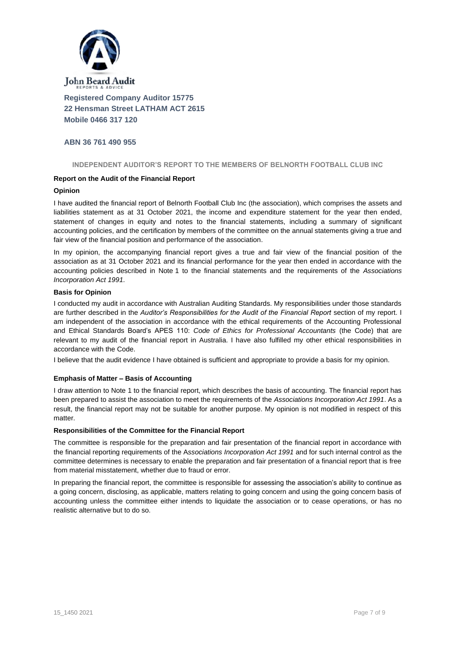

**Registered Company Auditor 15775 22 Hensman Street LATHAM ACT 2615 Mobile 0466 317 120**

## **ABN 36 761 490 955**

## **INDEPENDENT AUDITOR'S REPORT TO THE MEMBERS OF BELNORTH FOOTBALL CLUB INC**

#### **Report on the Audit of the Financial Report**

#### **Opinion**

I have audited the financial report of Belnorth Football Club Inc (the association), which comprises the assets and liabilities statement as at 31 October 2021, the income and expenditure statement for the year then ended, statement of changes in equity and notes to the financial statements, including a summary of significant accounting policies, and the certification by members of the committee on the annual statements giving a true and fair view of the financial position and performance of the association.

In my opinion, the accompanying financial report gives a true and fair view of the financial position of the association as at 31 October 2021 and its financial performance for the year then ended in accordance with the accounting policies described in Note 1 to the financial statements and the requirements of the *Associations Incorporation Act 1991.*

#### **Basis for Opinion**

I conducted my audit in accordance with Australian Auditing Standards. My responsibilities under those standards are further described in the *Auditor's Responsibilities for the Audit of the Financial Report* section of my report. I am independent of the association in accordance with the ethical requirements of the Accounting Professional and Ethical Standards Board's APES 110: *Code of Ethics for Professional Accountants* (the Code) that are relevant to my audit of the financial report in Australia. I have also fulfilled my other ethical responsibilities in accordance with the Code.

I believe that the audit evidence I have obtained is sufficient and appropriate to provide a basis for my opinion.

#### **Emphasis of Matter – Basis of Accounting**

I draw attention to Note 1 to the financial report, which describes the basis of accounting. The financial report has been prepared to assist the association to meet the requirements of the *Associations Incorporation Act 1991*. As a result, the financial report may not be suitable for another purpose. My opinion is not modified in respect of this matter.

## **Responsibilities of the Committee for the Financial Report**

The committee is responsible for the preparation and fair presentation of the financial report in accordance with the financial reporting requirements of the A*ssociations Incorporation Act 1991* and for such internal control as the committee determines is necessary to enable the preparation and fair presentation of a financial report that is free from material misstatement, whether due to fraud or error.

In preparing the financial report, the committee is responsible for assessing the association's ability to continue as a going concern, disclosing, as applicable, matters relating to going concern and using the going concern basis of accounting unless the committee either intends to liquidate the association or to cease operations, or has no realistic alternative but to do so.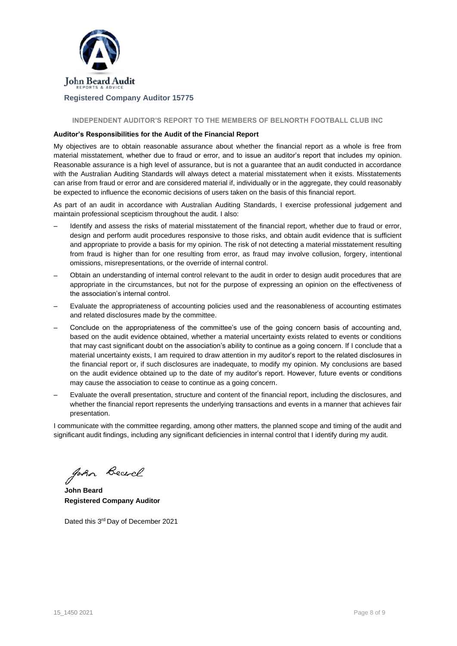

**INDEPENDENT AUDITOR'S REPORT TO THE MEMBERS OF BELNORTH FOOTBALL CLUB INC**

#### **Auditor's Responsibilities for the Audit of the Financial Report**

My objectives are to obtain reasonable assurance about whether the financial report as a whole is free from material misstatement, whether due to fraud or error, and to issue an auditor's report that includes my opinion. Reasonable assurance is a high level of assurance, but is not a guarantee that an audit conducted in accordance with the Australian Auditing Standards will always detect a material misstatement when it exists. Misstatements can arise from fraud or error and are considered material if, individually or in the aggregate, they could reasonably be expected to influence the economic decisions of users taken on the basis of this financial report.

As part of an audit in accordance with Australian Auditing Standards, I exercise professional judgement and maintain professional scepticism throughout the audit. I also:

- Identify and assess the risks of material misstatement of the financial report, whether due to fraud or error, design and perform audit procedures responsive to those risks, and obtain audit evidence that is sufficient and appropriate to provide a basis for my opinion. The risk of not detecting a material misstatement resulting from fraud is higher than for one resulting from error, as fraud may involve collusion, forgery, intentional omissions, misrepresentations, or the override of internal control.
- Obtain an understanding of internal control relevant to the audit in order to design audit procedures that are appropriate in the circumstances, but not for the purpose of expressing an opinion on the effectiveness of the association's internal control.
- Evaluate the appropriateness of accounting policies used and the reasonableness of accounting estimates and related disclosures made by the committee.
- Conclude on the appropriateness of the committee's use of the going concern basis of accounting and, based on the audit evidence obtained, whether a material uncertainty exists related to events or conditions that may cast significant doubt on the association's ability to continue as a going concern. If I conclude that a material uncertainty exists, I am required to draw attention in my auditor's report to the related disclosures in the financial report or, if such disclosures are inadequate, to modify my opinion. My conclusions are based on the audit evidence obtained up to the date of my auditor's report. However, future events or conditions may cause the association to cease to continue as a going concern.
- Evaluate the overall presentation, structure and content of the financial report, including the disclosures, and whether the financial report represents the underlying transactions and events in a manner that achieves fair presentation.

I communicate with the committee regarding, among other matters, the planned scope and timing of the audit and significant audit findings, including any significant deficiencies in internal control that I identify during my audit.

John Beard

**John Beard Registered Company Auditor** 

Dated this 3rd Day of December 2021